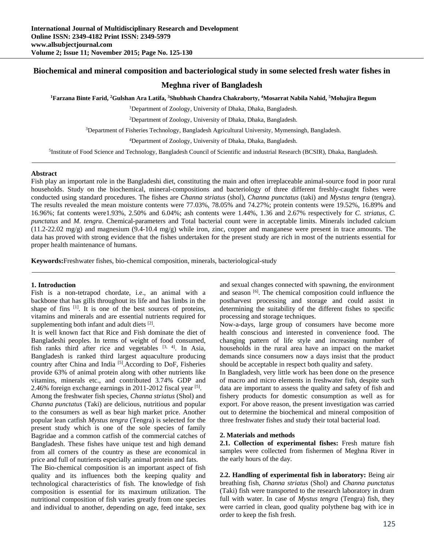# **Biochemical and mineral composition and bacteriological study in some selected fresh water fishes in**

## **Meghna river of Bangladesh**

**1Farzana Binte Farid, 2Gulshan Ara Latifa, 3Shubhash Chandra Chakraborty, 4Mosarrat Nabila Nahid, 5Mohajira Begum** 

1Department of Zoology, University of Dhaka, Dhaka, Bangladesh.

2Department of Zoology, University of Dhaka, Dhaka, Bangladesh.

3Department of Fisheries Technology, Bangladesh Agricultural University, Mymensingh, Bangladesh.

4Department of Zoology, University of Dhaka, Dhaka, Bangladesh.

5Institute of Food Science and Technology, Bangladesh Council of Scientific and industrial Research (BCSIR), Dhaka, Bangladesh.

#### **Abstract**

Fish play an important role in the Bangladeshi diet, constituting the main and often irreplaceable animal-source food in poor rural households. Study on the biochemical, mineral-compositions and bacteriology of three different freshly-caught fishes were conducted using standard procedures. The fishes are *Channa striatus* (shol), *Channa punctatus* (taki) and *Mystus tengra* (tengra). The results revealed the mean moisture contents were 77.03%, 78.05% and 74.27%; protein contents were 19.52%, 16.89% and 16.96%; fat contents were1.93%, 2.50% and 6.04%; ash contents were 1.44%, 1.36 and 2.67% respectively for *C. striatus, C. punctatus* and *M. tengra*. Chemical-parameters and Total bacterial count were in acceptable limits. Minerals included calcium  $(11.2-22.02 \text{ mg/g})$  and magnesium  $(9.4-10.4 \text{ mg/g})$  while iron, zinc, copper and manganese were present in trace amounts. The data has proved with strong evidence that the fishes undertaken for the present study are rich in most of the nutrients essential for proper health maintenance of humans.

**Keywords:**Freshwater fishes, bio-chemical composition, minerals, bacteriological-study

#### **1. Introduction**

Fish is a non-tetrapod chordate, i.e., an animal with a backbone that has gills throughout its life and has limbs in the shape of fins <sup>[1]</sup>. It is one of the best sources of proteins, vitamins and minerals and are essential nutrients required for supplementing both infant and adult diets [2].

It is well known fact that Rice and Fish dominate the diet of Bangladeshi peoples. In terms of weight of food consumed, fish ranks third after rice and vegetables  $[3, 4]$ . In Asia, Bangladesh is ranked third largest aquaculture producing country after China and India<sup>[5]</sup>. According to DoF, Fisheries provide 63% of animal protein along with other nutrients like vitamins, minerals etc., and contributed 3.74% GDP and 2.46% foreign exchange earnings in 2011-2012 fiscal year [5].

Among the freshwater fish species, *Channa striatus* (Shol) and *Channa punctatus* (Taki) are delicious, nutritious and popular to the consumers as well as bear high market price. Another popular lean catfish *Mystus tengra* (Tengra) is selected for the present study which is one of the sole species of family Bagridae and a common catfish of the commercial catches of Bangladesh. These fishes have unique test and high demand from all corners of the country as these are economical in price and full of nutrients especially animal protein and fats.

The Bio-chemical composition is an important aspect of fish quality and its influences both the keeping quality and technological characteristics of fish. The knowledge of fish composition is essential for its maximum utilization. The nutritional composition of fish varies greatly from one species and individual to another, depending on age, feed intake, sex

and sexual changes connected with spawning, the environment and season [6]. The chemical composition could influence the postharvest processing and storage and could assist in determining the suitability of the different fishes to specific processing and storage techniques.

Now-a-days, large group of consumers have become more health conscious and interested in convenience food. The changing pattern of life style and increasing number of households in the rural area have an impact on the market demands since consumers now a days insist that the product should be acceptable in respect both quality and safety.

In Bangladesh, very little work has been done on the presence of macro and micro elements in freshwater fish, despite such data are important to assess the quality and safety of fish and fishery products for domestic consumption as well as for export. For above reason, the present investigation was carried out to determine the biochemical and mineral composition of three freshwater fishes and study their total bacterial load.

#### **2. Materials and methods**

**2.1. Collection of experimental fishes:** Fresh mature fish samples were collected from fishermen of Meghna River in the early hours of the day.

**2.2. Handling of experimental fish in laboratory:** Being air breathing fish, *Channa striatus* (Shol) and *Channa punctatus*  (Taki) fish were transported to the research laboratory in dram full with water. In case of *Mystus tengra* (Tengra) fish, they were carried in clean, good quality polythene bag with ice in order to keep the fish fresh.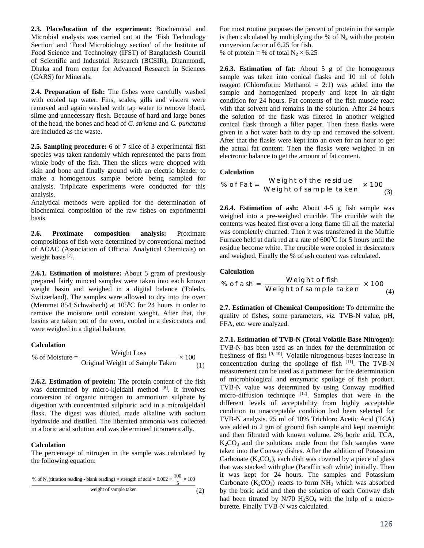**2.3. Place/location of the experiment:** Biochemical and Microbial analysis was carried out at the 'Fish Technology Section' and 'Food Microbiology section' of the Institute of Food Science and Technology (IFST) of Bangladesh Council of Scientific and Industrial Research (BCSIR), Dhanmondi, Dhaka and from center for Advanced Research in Sciences (CARS) for Minerals.

**2.4. Preparation of fish:** The fishes were carefully washed with cooled tap water. Fins, scales, gills and viscera were removed and again washed with tap water to remove blood, slime and unnecessary flesh. Because of hard and large bones of the head, the bones and head of *C. striatus* and *C. punctatus* are included as the waste.

**2.5. Sampling procedure:** 6 or 7 slice of 3 experimental fish species was taken randomly which represented the parts from whole body of the fish. Then the slices were chopped with skin and bone and finally ground with an electric blender to make a homogenous sample before being sampled for analysis. Triplicate experiments were conducted for this analysis.

Analytical methods were applied for the determination of biochemical composition of the raw fishes on experimental basis.

**2.6. Proximate composition analysis:** Proximate compositions of fish were determined by conventional method of AOAC (Association of Official Analytical Chemicals) on weight basis [7].

**2.6.1. Estimation of moisture:** About 5 gram of previously prepared fairly minced samples were taken into each known weight basin and weighed in a digital balance (Toledo, Switzerland). The samples were allowed to dry into the oven (Memmet 854 Schwabach) at 105<sup>o</sup>C for 24 hours in order to remove the moisture until constant weight. After that, the basins are taken out of the oven, cooled in a desiccators and were weighed in a digital balance.

## **Calculation**

% of Moisture = 
$$
\frac{\text{Weight Loss}}{\text{Original Weight of Sample Taken}} \times 100
$$
 (1)

**2.6.2. Estimation of protein:** The protein content of the fish was determined by micro-kjeldahl method [8]. It involves conversion of organic nitrogen to ammonium sulphate by digestion with concentrated sulphuric acid in a microkjeldahl flask. The digest was diluted, made alkaline with sodium hydroxide and distilled. The liberated ammonia was collected in a boric acid solution and was determined titrametrically.

## **Calculation**

The percentage of nitrogen in the sample was calculated by the following equation:

% of N<sub>2</sub>(titration reading - blank reading) × strength of acid × 0.002 × 
$$
\frac{100}{5}
$$
 × 100  
weight of sample taken\n(2)

For most routine purposes the percent of protein in the sample is then calculated by multiplying the % of  $N_2$  with the protein conversion factor of 6.25 for fish.

% of protein = % of total  $N_2 \times 6.25$ 

**2.6.3. Estimation of fat:** About 5 g of the homogenous sample was taken into conical flasks and 10 ml of folch reagent (Chloroform: Methanol  $= 2:1$ ) was added into the sample and homogenized properly and kept in air-tight condition for 24 hours. Fat contents of the fish muscle react with that solvent and remains in the solution. After 24 hours the solution of the flask was filtered in another weighed conical flask through a filter paper. Then these flasks were given in a hot water bath to dry up and removed the solvent. After that the flasks were kept into an oven for an hour to get the actual fat content. Then the flasks were weighed in an electronic balance to get the amount of fat content.

#### **Calculation**

% of Fat = 
$$
\frac{\text{Weight of the residue}}{\text{Weight of sample taken}} \times 100
$$
 (3)

**2.6.4. Estimation of ash:** About 4-5 g fish sample was weighed into a pre-weighed crucible. The crucible with the contents was heated first over a long flame till all the material was completely churned. Then it was transferred in the Muffle Furnace held at dark red at a rate of  $600^{\circ}$ C for 5 hours until the residue become white. The crucible were cooled in desiccators and weighed. Finally the % of ash content was calculated.

### **Calculation**

% of ash = 
$$
\frac{\text{Weight of fish}}{\text{Weight of sample taken}} \times 100
$$
 (4)

**2.7. Estimation of Chemical Composition:** To determine the quality of fishes, some parameters, *viz.* TVB-N value, pH, FFA, etc. were analyzed.

**2.7.1. Estimation of TVB-N (Total Volatile Base Nitrogen):**  TVB-N has been used as an index for the determination of freshness of fish  $[9, 10]$ . Volatile nitrogenous bases increase in concentration during the spoilage of fish [11]. The TVB-N measurement can be used as a parameter for the determination of microbiological and enzymatic spoilage of fish product. TVB-N value was determined by using Conway modified micro-diffusion technique [12]. Samples that were in the different levels of acceptability from highly acceptable condition to unacceptable condition had been selected for TVB-N analysis. 25 ml of 10% Trichloro Acetic Acid (TCA) was added to 2 gm of ground fish sample and kept overnight and then filtrated with known volume. 2% boric acid, TCA,  $K<sub>2</sub>CO<sub>3</sub>$  and the solutions made from the fish samples were taken into the Conway dishes. After the addition of Potassium Carbonate  $(K_2CO_3)$ , each dish was covered by a piece of glass that was stacked with glue (Paraffin soft white) initially. Then it was kept for 24 hours. The samples and Potassium Carbonate ( $K_2CO_3$ ) reacts to form NH<sub>3</sub> which was absorbed by the boric acid and then the solution of each Conway dish had been titrated by  $N/70$   $H<sub>2</sub>SO<sub>4</sub>$  with the help of a microburette. Finally TVB-N was calculated.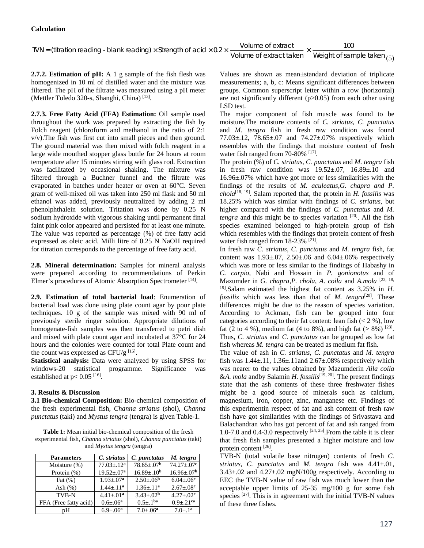TVN = (titration reading - blank reading) × Strength of acid × 0.2 ×  $\frac{\text{Volume of extract}}{\text{Volume of extract taken}} \times \frac{100}{\text{Weight of sample taken}}$  (5)

**2.7.2. Estimation of pH:** A 1 g sample of the fish flesh was homogenized in 10 ml of distilled water and the mixture was filtered. The pH of the filtrate was measured using a pH meter (Mettler Toledo 320-s, Shanghi, China) [13].

**2.7.3. Free Fatty Acid (FFA) Estimation:** Oil sample used throughout the work was prepared by extracting the fish by Folch reagent (chloroform and methanol in the ratio of 2:1 v/v).The fish was first cut into small pieces and then ground. The ground material was then mixed with folch reagent in a large wide mouthed stopper glass bottle for 24 hours at room temperature after 15 minutes stirring with glass rod. Extraction was facilitated by occasional shaking. The mixture was filtered through a Buchner funnel and the filtrate was evaporated in batches under heater or oven at 60°C. Seven gram of well-mixed oil was taken into 250 ml flask and 50 ml ethanol was added, previously neutralized by adding 2 ml phenolphthalein solution. Tritation was done by 0.25 N sodium hydroxide with vigorous shaking until permanent final faint pink color appeared and persisted for at least one minute. The value was reported as percentage (%) of free fatty acid expressed as oleic acid. Milli litre of 0.25 N NaOH required for titration corresponds to the percentage of free fatty acid.

**2.8. Mineral determination:** Samples for mineral analysis were prepared according to recommendations of Perkin Elmer's procedures of Atomic Absorption Spectrometer [14].

**2.9. Estimation of total bacterial load**: Enumeration of bacterial load was done using plate count agar by pour plate techniques. 10 g of the sample was mixed with 90 ml of previously sterile ringer solution. Appropriate dilutions of homogenate-fish samples was then transferred to petri dish and mixed with plate count agar and incubated at 37°C for 24 hours and the colonies were counted for total Plate count and the count was expressed as CFU/g  $^{[15]}$ .

**Statistical analysis:** Data were analyzed by using SPSS for windows-20 statistical programme. Significance was established at  $p < 0.05$ <sup>[16]</sup>.

## **3. Results & Discussion**

**3.1 Bio-chemical Composition:** Bio-chemical composition of the fresh experimental fish, *Channa striatus* (shol), *Channa punctatus* (taki) and *Mystus tengra* (tengra) is given Table-1.

**Table 1:** Mean initial bio-chemical composition of the fresh experimental fish, *Channa striatus* (shol), *Channa punctatus* (taki) and *Mystus tengra* (tengra)

| <b>Parameters</b>     | C. striatus       | C. punctatus            | M. tengra                    |
|-----------------------|-------------------|-------------------------|------------------------------|
| Moisture $(\%)$       | $77.03 \pm .12^a$ | $78.65 \pm .07^{\rm b}$ | $74.27 \pm .07$ <sup>c</sup> |
| Protein $(\%)$        | $19.52 \pm .07^a$ | $16.89 \pm .10^{b}$     | $16.96 \pm 0.07^{b}$         |
| Fat $(\%)$            | $1.93 \pm 0.07^a$ | $2.50 \pm .06^{\rm b}$  | $6.04 \pm 0.06$ <sup>c</sup> |
| Ash $(\%)$            | $1.44 + .11a$     | $1.36 \pm .11^{a}$      | $2.67 \pm .08$ c             |
| TVB-N                 | $4.41 \pm .01^a$  | $3.43 \pm .02^{b}$      | $4.27 + .02^c$               |
| FFA (Free fatty acid) | $0.6 \pm 0.06^a$  | $0.5 \pm .1^{ba}$       | $0.9 \pm .21$ <sup>ca</sup>  |
| pΗ                    | $6.9 \pm .06^a$   | $7.0 + .06^a$           | $7.0 \pm .1^a$               |

Values are shown as mean±standard deviation of triplicate measurements; a, b, c: Means significant differences between groups. Common superscript letter within a row (horizontal) are not significantly different (p>0.05) from each other using LSD test.

The major component of fish muscle was found to be moisture.The moisture contents of *C. striatus, C. punctatus*  and *M. tengra* fish in fresh raw condition was found 77.03±.12, 78.65±.07 and 74.27±.07% respectively which resembles with the findings that moisture content of fresh water fish ranged from 70-80% <sup>[17]</sup>.

The protein (%) of *C. striatus, C. punctatus* and *M. tengra* fish in fresh raw condition was  $19.52\pm.07$ ,  $16.89\pm.10$  and 16.96±.07% which have got more or less similarities with the findings of the results of *M. aculeatus,G. chapra and P. chola*[18, 19]. Salam reported that, the protein in *H. fossilis* was 18.25% which was similar with findings of *C. striatus,* but higher compared with the findings of *C. punctatus* and *M. tengra* and this might be to species variation <sup>[20]</sup>. All the fish species examined belonged to high-protein group of fish which resembles with the findings that protein content of fresh water fish ranged from 18-23% <sup>[21]</sup>.

In fresh raw *C. striatus, C. punctatus* and *M. tengra* fish, fat content was  $1.93 \pm .07$ ,  $2.50 \pm .06$  and  $6.04 \pm .06\%$  respectively which was more or less similar to the findings of Habashy in *C. carpio,* Nabi and Hossain in *P. gonionotus* and of Mazumder in *G. chapra,P. chola*, *A. coila* and *A.mola* [22, 18, 19].Salam estimated the highest fat content as 3.25% in *H. fossilis* which was less than that of *M. tengra*[20]. These differences might be due to the reason of species variation. According to Ackman, fish can be grouped into four categories according to their fat content: lean fish  $(< 2 %)$ , low fat (2 to 4 %), medium fat (4 to 8%), and high fat (> 8%) <sup>[23]</sup>. Thus, *C. striatus* and *C. punctatus* can be grouped as low fat fish whereas *M. tengra* can be treated as medium fat fish.

The value of ash in *C. striatus, C. punctatus* and *M. tengra* fish was  $1.44 \pm 0.11$ ,  $1.36 \pm 0.11$  and  $2.67 \pm 0.08$ % respectively which was nearer to the values obtained by Mazumderin *Aila coila*  &*A. mola* andby Salamin *H. fossilis*[19, 20]*.* The present findings state that the ash contents of these three freshwater fishes might be a good source of minerals such as calcium, magnesium, iron, copper, zinc, manganese etc. Findings of this experimentin respect of fat and ash content of fresh raw fish have got similarities with the findings of Srivastava and Balachandran who has got percent of fat and ash ranged from 1.0-7.0 and 0.4-3.0 respectively  $[24, 25]$ . From the table it is clear that fresh fish samples presented a higher moisture and low protein content [26].

TVB-N (total volatile base nitrogen) contents of fresh *C. striatus, C. punctatus* and *M. tengra* fish was 4.41±.01,  $3.43\pm.02$  and  $4.27\pm.02$  mgN/100g respectively. According to EEC the TVB-N value of raw fish was much lower than the acceptable upper limits of 25-35 mg/100 g for some fish species [27]. This is in agreement with the initial TVB-N values of these three fishes.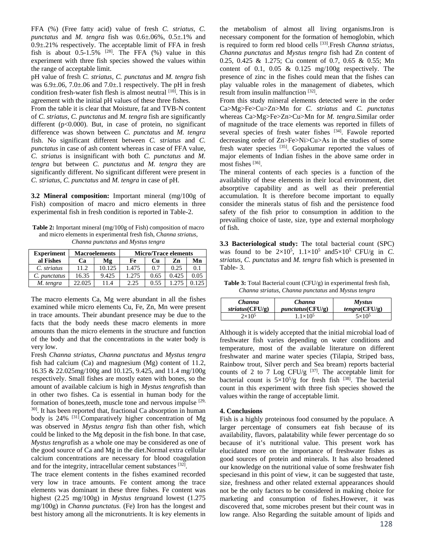FFA (%) (Free fatty acid) value of fresh *C. striatus, C. punctatus* and *M. tengra* fish was 0.6±.06%, 0.5±.1% and 0.9±.21% respectively. The acceptable limit of FFA in fresh fish is about  $0.5{\text -}1.5\%$  <sup>[28]</sup>. The FFA (%) value in this experiment with three fish species showed the values within the range of acceptable limit.

pH value of fresh *C. striatus, C. punctatus* and *M. tengra* fish was 6.9±.06, 7.0±.06 and 7.0±.1 respectively. The pH in fresh condition fresh-water fish flesh is almost neutral  $[10]$ . This is in agreement with the initial pH values of these three fishes.

From the table it is clear that Moisture, fat and TVB-N content of *C. striatus, C. punctatus* and *M. tengra* fish are significantly different (p<0.000). But, in case of protein, no significant difference was shown between *C. punctatus* and *M. tengra* fish. No significant different between *C. striatus* and *C. punctatus* in case of ash content whereas in case of FFA value, *C. striatus* is insignificant with both *C. punctatus* and *M. tengra* but between *C. punctatus* and *M. tengra* they are significantly different. No significant different were present in *C. striatus, C. punctatus* and *M. tengra* in case of pH.

**3.2 Mineral composition:** Important mineral (mg/100g of Fish) composition of macro and micro elements in three experimental fish in fresh condition is reported in Table-2.

**Table 2:** Important mineral (mg/100g of Fish) composition of macro and micro elements in experimental fresh fish, *Channa striatus*, *Channa punctatus* and *Mystus tengra*

| <b>Experiment</b> | <b>Macroelements</b> |        | <b>Micro/Trace elements</b> |      |       |      |
|-------------------|----------------------|--------|-----------------------------|------|-------|------|
| al Fishes         | Ca                   | Mg     | Fe                          | Cu   | Zn    | Mn   |
| C. striatus       | 11.2                 | 10.125 | 1.475                       | 0.7  | 0.25  | 0.1  |
| C. punctatus      | 16.35                | 9.425  | 1.275                       | 0.65 | 0.425 | 0.05 |
| M. tengra         | 22.025               | 11.4   | 2.25                        | 0.55 |       |      |

The macro elements Ca, Mg were abundant in all the fishes examined while micro elements Cu, Fe, Zn, Mn were present in trace amounts. Their abundant presence may be due to the facts that the body needs these macro elements in more amounts than the micro elements in the structure and function of the body and that the concentrations in the water body is very low.

Fresh *Channa striatus*, *Channa punctatus* and *Mystus tengra* fish had calcium (Ca) and magnesium (Mg) content of 11.2, 16.35 & 22.025mg/100g and 10.125, 9.425, and 11.4 mg/100g respectively. Small fishes are mostly eaten with bones, so the amount of available calcium is high in *Mystus tengra*fish than in other two fishes. Ca is essential in human body for the formation of bones, teeth, muscle tone and nervous impulse [29, 30]. It has been reported that, fractional Ca absorption in human body is 24% <sup>[31]</sup>.Comparatively higher concentration of Mg was observed in *Mystus tengra* fish than other fish, which could be linked to the Mg deposit in the fish bone. In that case, *Mystus tengra*fish as a whole one may be considered as one of the good source of Ca and Mg in the diet.Normal extra cellular calcium concentrations are necessary for blood coagulation and for the integrity, intracellular cement substances [32].

The trace element contents in the fishes examined recorded very low in trace amounts. Fe content among the trace elements was dominant in these three fishes. Fe content was highest (2.25 mg/100g) in *Mystus tengra*and lowest (1.275 mg/100g) in *Channa punctatus.* (Fe) Iron has the longest and best history among all the micronutrients. It is key elements in

the metabolism of almost all living organisms.Iron is necessary component for the formation of hemoglobin, which is required to form red blood cells [33].Fresh *Channa striatus*, *Channa punctatus* and *Mystus tengra* fish had Zn content of 0.25, 0.425 & 1.275; Cu content of 0.7, 0.65 & 0.55; Mn content of 0.1, 0.05  $\&$  0.125 mg/100g respectively. The presence of zinc in the fishes could mean that the fishes can play valuable roles in the management of diabetes, which result from insulin malfunction [32].

From this study mineral elements detected were in the order Ca>Mg>Fe>Cu>Zn>Mn for *C. striatus* and *C. punctatus*  whereas Ca>Mg>Fe>Zn>Cu>Mn for *M. tengra*.Similar order of magnitude of the trace elements was reported in fillets of several species of fresh water fishes [34]. Fawole reported decreasing order of Zn>Fe>Ni>Cu>As in the studies of some fresh water species [35]. Gopakumar reported the values of major elements of Indian fishes in the above same order in most fishes [36].

The mineral contents of each species is a function of the availability of these elements in their local environment, diet absorptive capability and as well as their preferential accumulation. It is therefore become important to equally consider the minerals status of fish and the persistence food safety of the fish prior to consumption in addition to the prevailing choice of taste, size, type and external morphology of fish.

**3.3 Bacteriological study:** The total bacterial count (SPC) was found to be  $2\times10^5$ ,  $1.1\times10^5$  and  $5\times10^5$  CFU/g in *C*. *striatus, C. punctatus* and *M. tengra* fish which is presented in Table- 3.

**Table 3:** Total Bacterial count (CFU/g) in experimental fresh fish, *Channa striatus*, *Channa punctatus* and *Mystus tengra*

| Channa          | Channa            | <b>Mystus</b> |  |  |
|-----------------|-------------------|---------------|--|--|
| striatus(CFU/g) | punctatus(CFU/g)  | tengra(CFU/g) |  |  |
| $2\times10^5$   | $1.1\times10^{5}$ | $5\times10^5$ |  |  |

Although it is widely accepted that the initial microbial load of freshwater fish varies depending on water conditions and temperature, most of the available literature on different freshwater and marine water species (Tilapia, Striped bass, Rainbow trout, Silver perch and Sea bream) reports bacterial counts of 2 to 7 Log CFU/g  $[37]$ . The acceptable limit for bacterial count is  $5\times10^5/g$  for fresh fish <sup>[38]</sup>. The bacterial count in this experiment with three fish species showed the values within the range of acceptable limit.

## **4. Conclusions**

Fish is a highly proteinous food consumed by the populace. A larger percentage of consumers eat fish because of its availability, flavors, palatability while fewer percentage do so because of it's nutritional value. This present work has elucidated more on the importance of freshwater fishes as good sources of protein and minerals. It has also broadened our knowledge on the nutritional value of some freshwater fish speciesand in this point of view, it can be suggested that taste, size, freshness and other related external appearances should not be the only factors to be considered in making choice for marketing and consumption of fishes.However, it was discovered that, some microbes present but their count was in low range. Also Regarding the suitable amount of lipids and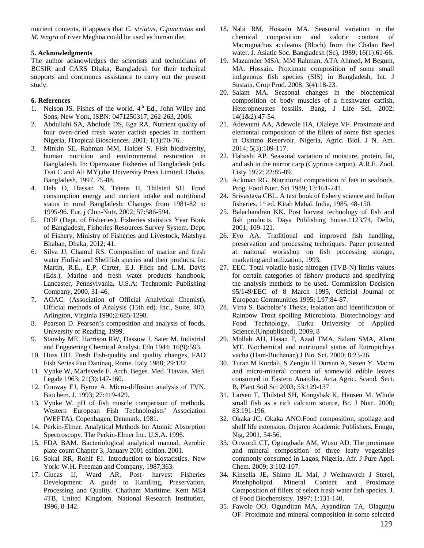nutrient contents, it appears that *C. striatus*, *C.punctatus* and *M. tengra* of river Meghna could be used as human diet.

#### **5. Acknowledgments**

The author acknowledges the scientists and technicians of BCSIR and CARS Dhaka, Bangladesh for their technical supports and continuous assistance to carry out the present study.

## **6. References**

- 1. Nelson JS. Fishes of the world.  $4<sup>th</sup>$  Ed., John Wiley and Sons, New York, ISBN: 0471250317, 262-263, 2006.
- 2. Abdullahi SA, Abolude DS, Ega RA. Nutrient quality of four oven-dried fresh water catfish species in northern Nigeria, JTropical Biosciences. 2001; 1(1):70-76.
- 3. Minkin SE, Rahman MM, Halder S. Fish biodiversity, human nutrition and environmental restoration in Bangladesh. In: Openwater Fisheries of Bangladesh (eds. Tsai C and Ali MY),the University Press Limited. Dhaka, Bangladesh, 1997, 75-88.
- 4. Hels O, Hassan N, Tetens H, Thilsted SH. Food consumption energy and nutrient intake and nutritional status in rural Bangladesh: Changes from 1981-82 to 1995-96. Eur, j Clon-Nutr. 2002; 57:586-594.
- 5. DOF (Dept. of Fisheries). Fisheries statistics Year Book of Bangladesh, Fisheries Resources Survey System. Dept. of Fishery, Ministry of Fisheries and Livestock, Matshya Bhaban, Dhaka, 2012; 41.
- 6. Silva JJ, Chamul RS. Composition of marine and fresh water Finfish and Shellfish species and their products. In: Martin, R.E., E.P. Carter, E.J. Flick and L.M. Davis (Eds.), Marine and fresh water products handbook, Lancaster, Pennsylvania, U.S.A: Technomic Publishing Company, 2000, 31-46.
- 7. AOAC. (Association of Official Analytical Chemist). Official methods of Analysis (15th ed). Inc., Suite, 400, Arlington, Virginia 1990;2:685-1298.
- 8. Pearson D. Pearson's composition and analysis of foods. University of Reading, 1999.
- 9. Stansby ME, Harrison RW, Dassow J, Sater M. Indistrial and Engenering Chemical Analyst. Edn 1944; 16(9):593.
- 10. Huss HH. Fresh Fish-quality and quality changes, FAO Fish Series Fao Daninaq, Rome. Italy 1988; 29:132.
- 11. Vynke W, Marlevede E. Arch. Beges. Med. Ttavais. Med. Legale 1963; 21(3):147-160.
- 12. Conway EJ, Byrne A. Micro-diffusion analysis of TVN. Biochem. J. 1993; 27:419-429.
- 13. Vynke W. pH of fish muscle comparison of methods, Western European Fish Technologists' Association (WEFTA), Copenhagen, Denmark, 1981.
- 14. Perkin-Elmer. Analytical Methods for Atomic Absorption Spectroscopy. The Perkin-Elmer Inc. U.S.A. 1996.
- 15. FDA BAM. Bacteriological analytical manual, Aerobic plate count Chapter 3, January 2001 edition. 2001.
- 16. Sokal RR, Rohlf FJ. Introduction to biostatistics. New York: W.H. Freeman and Company, 1987,363.
- 17. Clucas IJ, Ward AR. Post- harvest Fisheries Development: A guide to Handling, Preservation, Processing and Quality. Chatham Maritime. Kent ME4 4TB, United Kingdom. National Research Institution, 1996, 8-142.
- 18. Nabi RM, Hossain MA. Seasonal variation in the chemical composition and caloric content of Macrognathus aculeatus (Bloch) from the Chalan Beel water. J. Asiatic Soc. Bangladesh (Sc), 1989; 16(1):61-66.
- 19. Mazumder MSA, MM Rahman, ATA Ahmed, M Begum, MA. Hossain. Proximate composition of some small indigenous fish species (SIS) in Bangladesh, Int. J Sustain. Crop Prod. 2008; 3(4):18-23.
- 20. Salam MA. Seasonal changes in the biochemical composition of body muscles of a freshwater catfish, Heteropneustes fossilis. Bang, J Life Sci. 2002; 14(1&2):47-54.
- 21. Adewumi AA, Adewole HA, Olaleye VF. Proximate and elemental composition of the fillets of some fish species in Osinmo Reservoir, Nigeria, Agric. Biol. J N. Am. 2014; 5(3):109-117.
- 22. Habashi AP. Seasonal variation of moisture, protein, fat, and ash in the mirror carp (Cyprinus carpio). A.R.E. Zool. Listy 1972; 22:85-89.
- 23. Ackman RG. Nutritional composition of fats in seafoods. Prog. Food Nutr. Sci 1989; 13:161-241.
- 24. Srivastava CBL. A text book of fishery science and Indian fisheries. 1st ed. Kitab Mahal. India, 1985, 48-150.
- 25. Balachandran KK. Post harvest technology of fish and fish products. Daya Publishing house.1123/74, Delhi, 2001; 109-121.
- 26. Eyo AA. Traditional and improved fish handling, preservation and processing techniques. Paper presented at national workshop on fish processing storage, marketing and utilization, 1993.
- 27. EEC. Total volatile basic nitrogen (TVB-N) limits values for certain categories of fishery products and specifying the analysis methods to be used. Commission Decision 95/149/EEC of 8 March 1995, Official Journal of European Communities 1995; L97:84-87.
- 28. Virta S. Bachelor's Thesis, Isolation and Identification of Rainbow Trout spoiling Microbiota. Biotechnology and Food Technology, Turku University of Applied Science.(Unpublished), 2009, 8
- 29. Mollah AH, Hasan F, Azad TMA, Salam SMA, Alarn MT. Biochemical and nutritional status of Eutropichtys vacha (Ham-Buchanan),J Bio. Sci. 2000; 8:23-26.
- 30. Turan M Kordali, S Zengin H Dursun A, Sezen Y. Macro and micro-mineral content of somewild edible leaves consumed in Eastern Anatolia. Acta Agric. Scand. Sect. B, Plant Soil Sci 2003; 53:129-137.
- 31. Larsen T, Thilsted SH, Kongsbak K, Hansen M. Whole small fish as a rich calcium source, Br. J Nutr. 2000; 83:191-196.
- 32. Okaka JC, Okaka ANO.Food composition, spoilage and shelf life extension. Ocjarco Academic Publishers, Enugu, Nig, 2001, 54-56.
- 33. Onwordi CT, Ogungbade AM, Wusu AD. The proximate and mineral composition of three leafy vegetables commonly consumed in Lagos, Nigeria. Afr. J Pure Appl. Chem. 2009; 3:102-107.
- 34. Kinsella JE, Shimp JL Mai, J Weihrawrch J Sterol, Phoshpholipid. Mineral Content and Proximate Composition of fillets of select fresh water fish species. J. of Food Biochemistry. 1997; 1:131-140.
- 35. Fawole OO, Ogundiran MA, Ayandiran TA, Olagunju OF. Proximate and mineral composition in some selected